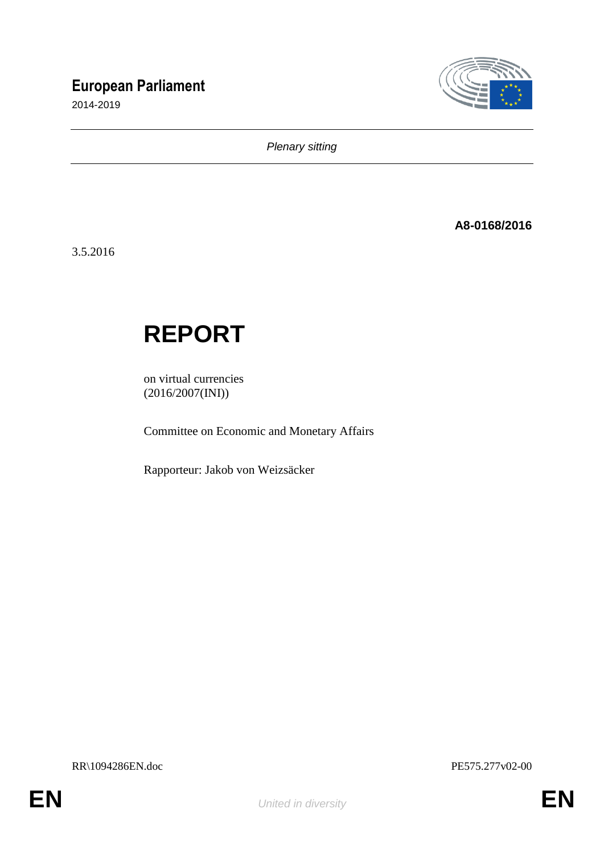## **European Parliament**

2014-2019



*Plenary sitting*

**A8-0168/2016**

3.5.2016

# **REPORT**

on virtual currencies (2016/2007(INI))

Committee on Economic and Monetary Affairs

Rapporteur: Jakob von Weizsäcker

RR\1094286EN.doc PE575.277v02-00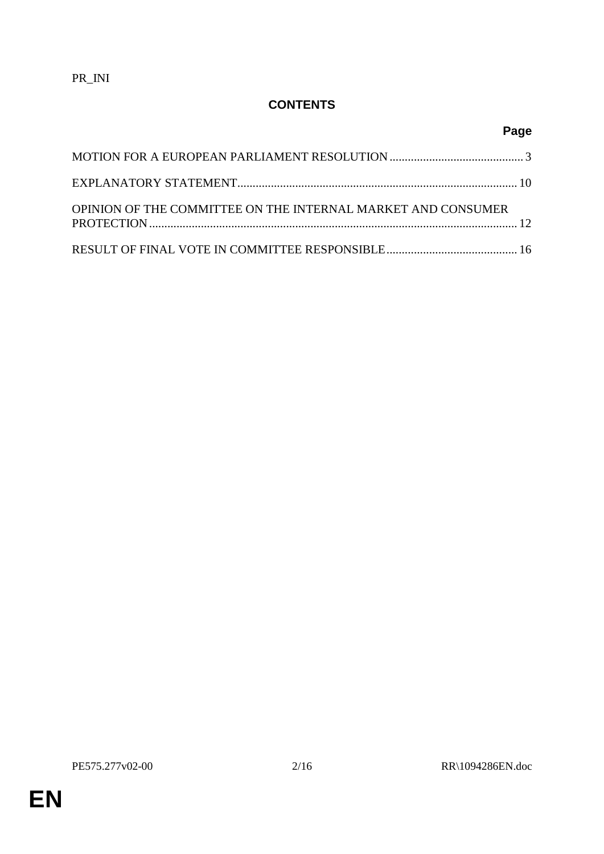## **CONTENTS**

## **Page**

| OPINION OF THE COMMITTEE ON THE INTERNAL MARKET AND CONSUMER |  |
|--------------------------------------------------------------|--|
|                                                              |  |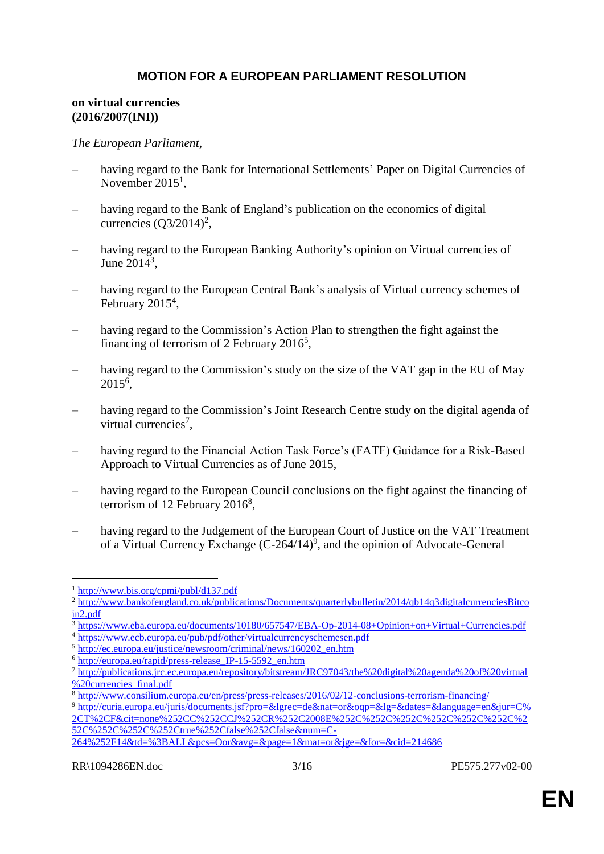#### **MOTION FOR A EUROPEAN PARLIAMENT RESOLUTION**

#### **on virtual currencies (2016/2007(INI))**

#### *The European Parliament*,

- having regard to the Bank for International Settlements' Paper on Digital Currencies of November  $2015<sup>1</sup>$ ,
- having regard to the Bank of England's publication on the economics of digital currencies  $(Q3/2014)^2$ ,
- having regard to the European Banking Authority's opinion on Virtual currencies of June  $2014^3$ ,
- having regard to the European Central Bank's analysis of Virtual currency schemes of February  $2015^4$ ,
- having regard to the Commission's Action Plan to strengthen the fight against the financing of terrorism of 2 February  $2016^5$ ,
- having regard to the Commission's study on the size of the VAT gap in the EU of May 2015<sup>6</sup> ,
- having regard to the Commission's Joint Research Centre study on the digital agenda of virtual currencies<sup>7</sup>,
- having regard to the Financial Action Task Force's (FATF) Guidance for a Risk-Based Approach to Virtual Currencies as of June 2015,
- having regard to the European Council conclusions on the fight against the financing of terrorism of 12 February  $2016^8$ ,
- having regard to the Judgement of the European Court of Justice on the VAT Treatment of a Virtual Currency Exchange  $(C-264/14)^9$ , and the opinion of Advocate-General

[264%252F14&td=%3BALL&pcs=Oor&avg=&page=1&mat=or&jge=&for=&cid=214686](http://curia.europa.eu/juris/documents.jsf?pro=&lgrec=de&nat=or&oqp=&lg=&dates=&language=en&jur=C%2CT%2CF&cit=none%252CC%252CCJ%252CR%252C2008E%252C%252C%252C%252C%252C%252C%252C%252C%252C%252Ctrue%252Cfalse%252Cfalse&num=C-264%252F14&td=%3BALL&pcs=Oor&avg=&page=1&mat=or&jge=&for=&cid=214686)

<sup>1</sup> <http://www.bis.org/cpmi/publ/d137.pdf>

<sup>&</sup>lt;sup>2</sup> [http://www.bankofengland.co.uk/publications/Documents/quarterlybulletin/2014/qb14q3digitalcurrenciesBitco](http://www.bankofengland.co.uk/publications/Documents/quarterlybulletin/2014/qb14q3digitalcurrenciesbitcoin2.pdf) [in2.pdf](http://www.bankofengland.co.uk/publications/Documents/quarterlybulletin/2014/qb14q3digitalcurrenciesbitcoin2.pdf)

<sup>3</sup> <https://www.eba.europa.eu/documents/10180/657547/EBA-Op-2014-08+Opinion+on+Virtual+Currencies.pdf>

<sup>4</sup> <https://www.ecb.europa.eu/pub/pdf/other/virtualcurrencyschemesen.pdf>

<sup>5</sup> [http://ec.europa.eu/justice/newsroom/criminal/news/160202\\_en.htm](http://ec.europa.eu/justice/newsroom/criminal/news/160202_en.htm)

<sup>6</sup> [http://europa.eu/rapid/press-release\\_IP-15-5592\\_en.htm](http://europa.eu/rapid/press-release_IP-15-5592_en.htm)

<sup>7</sup> [http://publications.jrc.ec.europa.eu/repository/bitstream/JRC97043/the%20digital%20agenda%20of%20virtual](http://publications.jrc.ec.europa.eu/repository/bitstream/JRC97043/the%20digital%20agenda%20of%20virtual%20currencies_final.pdf) [%20currencies\\_final.pdf](http://publications.jrc.ec.europa.eu/repository/bitstream/JRC97043/the%20digital%20agenda%20of%20virtual%20currencies_final.pdf)

<sup>8</sup> <http://www.consilium.europa.eu/en/press/press-releases/2016/02/12-conclusions-terrorism-financing/>

<sup>9</sup> [http://curia.europa.eu/juris/documents.jsf?pro=&lgrec=de&nat=or&oqp=&lg=&dates=&language=en&jur=C%](http://curia.europa.eu/juris/documents.jsf?pro=&lgrec=de&nat=or&oqp=&lg=&dates=&language=en&jur=C%2CT%2CF&cit=none%252CC%252CCJ%252CR%252C2008E%252C%252C%252C%252C%252C%252C%252C%252C%252C%252Ctrue%252Cfalse%252Cfalse&num=C-264%252F14&td=%3BALL&pcs=Oor&avg=&page=1&mat=or&jge=&for=&cid=214686) [2CT%2CF&cit=none%252CC%252CCJ%252CR%252C2008E%252C%252C%252C%252C%252C%252C%2](http://curia.europa.eu/juris/documents.jsf?pro=&lgrec=de&nat=or&oqp=&lg=&dates=&language=en&jur=C%2CT%2CF&cit=none%252CC%252CCJ%252CR%252C2008E%252C%252C%252C%252C%252C%252C%252C%252C%252C%252Ctrue%252Cfalse%252Cfalse&num=C-264%252F14&td=%3BALL&pcs=Oor&avg=&page=1&mat=or&jge=&for=&cid=214686) [52C%252C%252C%252Ctrue%252Cfalse%252Cfalse&num=C-](http://curia.europa.eu/juris/documents.jsf?pro=&lgrec=de&nat=or&oqp=&lg=&dates=&language=en&jur=C%2CT%2CF&cit=none%252CC%252CCJ%252CR%252C2008E%252C%252C%252C%252C%252C%252C%252C%252C%252C%252Ctrue%252Cfalse%252Cfalse&num=C-264%252F14&td=%3BALL&pcs=Oor&avg=&page=1&mat=or&jge=&for=&cid=214686)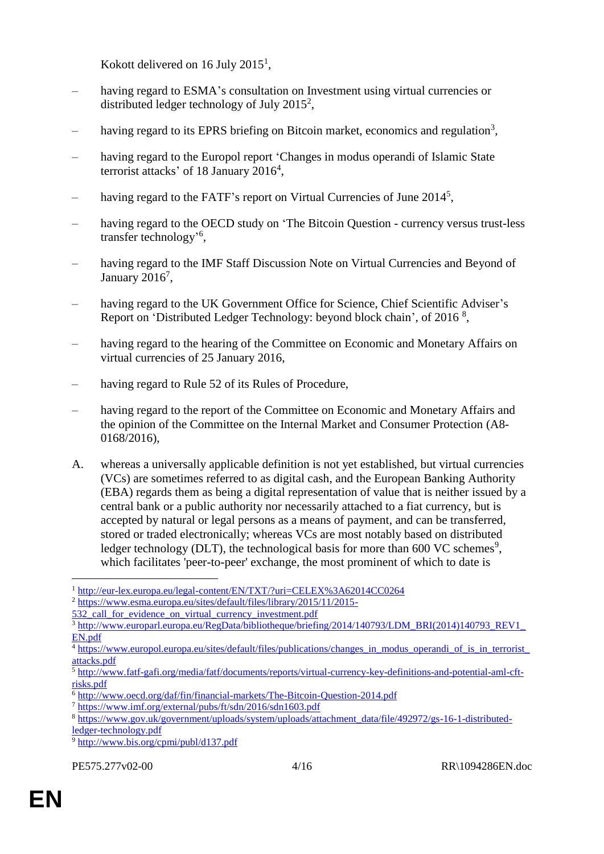Kokott delivered on 16 July  $2015<sup>1</sup>$ ,

- having regard to ESMA's consultation on Investment using virtual currencies or distributed ledger technology of July 2015<sup>2</sup>,
- having regard to its EPRS briefing on Bitcoin market, economics and regulation<sup>3</sup>,
- having regard to the Europol report 'Changes in modus operandi of Islamic State terrorist attacks' of 18 January 2016<sup>4</sup>,
- having regard to the FATF's report on Virtual Currencies of June 2014<sup>5</sup>,
- having regard to the OECD study on 'The Bitcoin Question currency versus trust-less transfer technology<sup>56</sup>,
- having regard to the IMF Staff Discussion Note on Virtual Currencies and Beyond of January  $2016^7$ ,
- having regard to the UK Government Office for Science, Chief Scientific Adviser's Report on 'Distributed Ledger Technology: beyond block chain', of 2016<sup>8</sup>,
- having regard to the hearing of the Committee on Economic and Monetary Affairs on virtual currencies of 25 January 2016,
- having regard to Rule 52 of its Rules of Procedure,
- having regard to the report of the Committee on Economic and Monetary Affairs and the opinion of the Committee on the Internal Market and Consumer Protection (A8- 0168/2016),
- A. whereas a universally applicable definition is not yet established, but virtual currencies (VCs) are sometimes referred to as digital cash, and the European Banking Authority (EBA) regards them as being a digital representation of value that is neither issued by a central bank or a public authority nor necessarily attached to a fiat currency, but is accepted by natural or legal persons as a means of payment, and can be transferred, stored or traded electronically; whereas VCs are most notably based on distributed ledger technology (DLT), the technological basis for more than 600 VC schemes<sup>9</sup>, which facilitates 'peer-to-peer' exchange, the most prominent of which to date is

<sup>1</sup> <http://eur-lex.europa.eu/legal-content/EN/TXT/?uri=CELEX%3A62014CC0264>

<sup>2</sup> [https://www.esma.europa.eu/sites/default/files/library/2015/11/2015-](https://www.esma.europa.eu/sites/default/files/library/2015/11/2015-532_call_for_evidence_on_virtual_currency_investment.pdf)

[<sup>532</sup>\\_call\\_for\\_evidence\\_on\\_virtual\\_currency\\_investment.pdf](https://www.esma.europa.eu/sites/default/files/library/2015/11/2015-532_call_for_evidence_on_virtual_currency_investment.pdf)

 $\frac{3}{3}$ http://www.europarl.europa.eu/RegData/bibliotheque/briefing/2014/140793/LDM\_BRI(2014)140793\_REV1 [EN.pdf](http://www.europarl.europa.eu/RegData/bibliotheque/briefing/2014/140793/LDM_BRI(2014)140793_REV1_EN.pdf)

<sup>4</sup> [https://www.europol.europa.eu/sites/default/files/publications/changes\\_in\\_modus\\_operandi\\_of\\_is\\_in\\_terrorist\\_](https://www.europol.europa.eu/sites/default/files/publications/changes_in_modus_operandi_of_is_in_terrorist_attacks.pdf) [attacks.pdf](https://www.europol.europa.eu/sites/default/files/publications/changes_in_modus_operandi_of_is_in_terrorist_attacks.pdf)

 $\frac{1}{5}$  [http://www.fatf-gafi.org/media/fatf/documents/reports/virtual-currency-key-definitions-and-potential-aml-cft](http://www.fatf-gafi.org/media/fatf/documents/reports/virtual-currency-key-definitions-and-potential-aml-cft-risks.pdf)[risks.pdf](http://www.fatf-gafi.org/media/fatf/documents/reports/virtual-currency-key-definitions-and-potential-aml-cft-risks.pdf)

<sup>6</sup> <http://www.oecd.org/daf/fin/financial-markets/The-Bitcoin-Question-2014.pdf>

<sup>7</sup> <https://www.imf.org/external/pubs/ft/sdn/2016/sdn1603.pdf>

<sup>8</sup> [https://www.gov.uk/government/uploads/system/uploads/attachment\\_data/file/492972/gs-16-1-distributed](https://www.gov.uk/government/uploads/system/uploads/attachment_data/file/492972/gs-16-1-distributed-ledger-technology.pdf)[ledger-technology.pdf](https://www.gov.uk/government/uploads/system/uploads/attachment_data/file/492972/gs-16-1-distributed-ledger-technology.pdf)

<sup>9</sup> <http://www.bis.org/cpmi/publ/d137.pdf>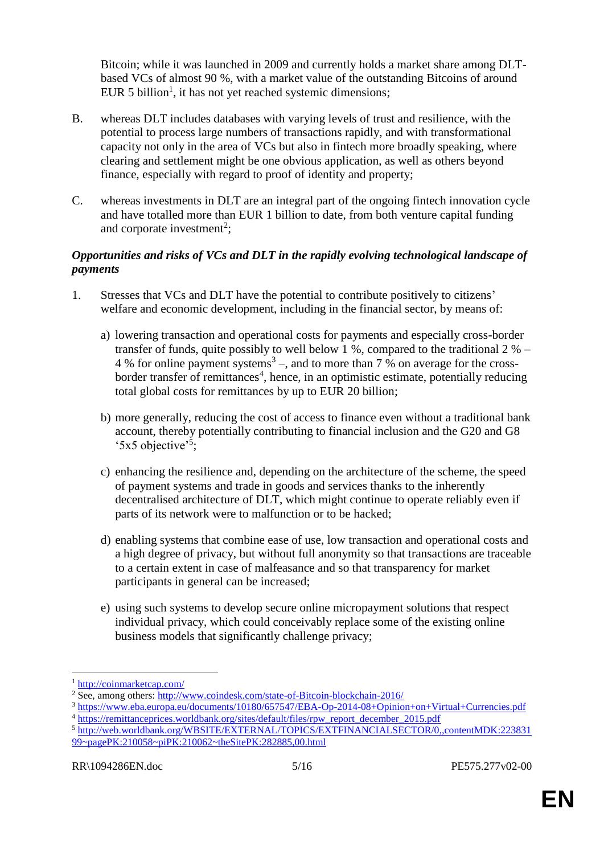Bitcoin; while it was launched in 2009 and currently holds a market share among DLTbased VCs of almost 90 %, with a market value of the outstanding Bitcoins of around EUR 5 billion<sup>1</sup>, it has not yet reached systemic dimensions;

- B. whereas DLT includes databases with varying levels of trust and resilience, with the potential to process large numbers of transactions rapidly, and with transformational capacity not only in the area of VCs but also in fintech more broadly speaking, where clearing and settlement might be one obvious application, as well as others beyond finance, especially with regard to proof of identity and property;
- C. whereas investments in DLT are an integral part of the ongoing fintech innovation cycle and have totalled more than EUR 1 billion to date, from both venture capital funding and corporate investment<sup>2</sup>;

#### *Opportunities and risks of VCs and DLT in the rapidly evolving technological landscape of payments*

- 1. Stresses that VCs and DLT have the potential to contribute positively to citizens' welfare and economic development, including in the financial sector, by means of:
	- a) lowering transaction and operational costs for payments and especially cross-border transfer of funds, quite possibly to well below 1 %, compared to the traditional 2 % – 4 % for online payment systems<sup>3</sup> –, and to more than 7 % on average for the crossborder transfer of remittances<sup>4</sup>, hence, in an optimistic estimate, potentially reducing total global costs for remittances by up to EUR 20 billion;
	- b) more generally, reducing the cost of access to finance even without a traditional bank account, thereby potentially contributing to financial inclusion and the G20 and G8 '5x5 objective'<sup>5</sup> ;
	- c) enhancing the resilience and, depending on the architecture of the scheme, the speed of payment systems and trade in goods and services thanks to the inherently decentralised architecture of DLT, which might continue to operate reliably even if parts of its network were to malfunction or to be hacked;
	- d) enabling systems that combine ease of use, low transaction and operational costs and a high degree of privacy, but without full anonymity so that transactions are traceable to a certain extent in case of malfeasance and so that transparency for market participants in general can be increased;
	- e) using such systems to develop secure online micropayment solutions that respect individual privacy, which could conceivably replace some of the existing online business models that significantly challenge privacy;

<sup>1</sup> <http://coinmarketcap.com/>

<sup>&</sup>lt;sup>2</sup> See, among others: [http://www.coindesk.com/state-of-Bitcoin-blockchain-2016/](http://www.coindesk.com/state-of-bitcoin-blockchain-2016/)

<sup>3</sup> <https://www.eba.europa.eu/documents/10180/657547/EBA-Op-2014-08+Opinion+on+Virtual+Currencies.pdf> <sup>4</sup> [https://remittanceprices.worldbank.org/sites/default/files/rpw\\_report\\_december\\_2015.pdf](https://remittanceprices.worldbank.org/sites/default/files/rpw_report_december_2015.pdf)

<sup>5</sup> [http://web.worldbank.org/WBSITE/EXTERNAL/TOPICS/EXTFINANCIALSECTOR/0,,contentMDK:223831](http://web.worldbank.org/WBSITE/EXTERNAL/TOPICS/EXTFINANCIALSECTOR/0,,contentMDK:22383199~pagePK:210058~piPK:210062~theSitePK:282885,00.html) [99~pagePK:210058~piPK:210062~theSitePK:282885,00.html](http://web.worldbank.org/WBSITE/EXTERNAL/TOPICS/EXTFINANCIALSECTOR/0,,contentMDK:22383199~pagePK:210058~piPK:210062~theSitePK:282885,00.html)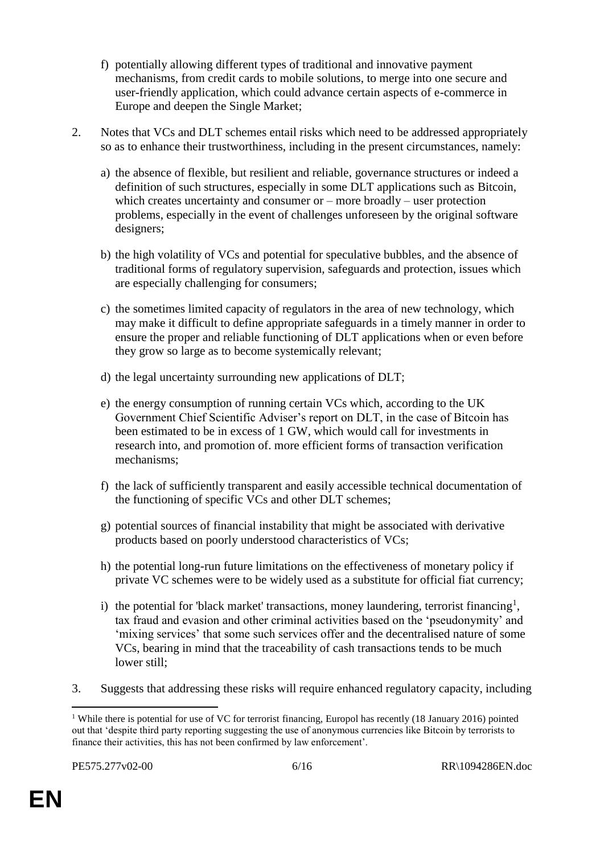- f) potentially allowing different types of traditional and innovative payment mechanisms, from credit cards to mobile solutions, to merge into one secure and user-friendly application, which could advance certain aspects of e-commerce in Europe and deepen the Single Market;
- 2. Notes that VCs and DLT schemes entail risks which need to be addressed appropriately so as to enhance their trustworthiness, including in the present circumstances, namely:
	- a) the absence of flexible, but resilient and reliable, governance structures or indeed a definition of such structures, especially in some DLT applications such as Bitcoin, which creates uncertainty and consumer or – more broadly – user protection problems, especially in the event of challenges unforeseen by the original software designers;
	- b) the high volatility of VCs and potential for speculative bubbles, and the absence of traditional forms of regulatory supervision, safeguards and protection, issues which are especially challenging for consumers;
	- c) the sometimes limited capacity of regulators in the area of new technology, which may make it difficult to define appropriate safeguards in a timely manner in order to ensure the proper and reliable functioning of DLT applications when or even before they grow so large as to become systemically relevant;
	- d) the legal uncertainty surrounding new applications of DLT;
	- e) the energy consumption of running certain VCs which, according to the UK Government Chief Scientific Adviser's report on DLT, in the case of Bitcoin has been estimated to be in excess of 1 GW, which would call for investments in research into, and promotion of. more efficient forms of transaction verification mechanisms;
	- f) the lack of sufficiently transparent and easily accessible technical documentation of the functioning of specific VCs and other DLT schemes;
	- g) potential sources of financial instability that might be associated with derivative products based on poorly understood characteristics of VCs;
	- h) the potential long-run future limitations on the effectiveness of monetary policy if private VC schemes were to be widely used as a substitute for official fiat currency;
	- i) the potential for 'black market' transactions, money laundering, terrorist financing<sup>1</sup>, tax fraud and evasion and other criminal activities based on the 'pseudonymity' and 'mixing services' that some such services offer and the decentralised nature of some VCs, bearing in mind that the traceability of cash transactions tends to be much lower still;
- 3. Suggests that addressing these risks will require enhanced regulatory capacity, including

 $\overline{a}$ <sup>1</sup> While there is potential for use of VC for terrorist financing, Europol has recently (18 January 2016) pointed out that 'despite third party reporting suggesting the use of anonymous currencies like Bitcoin by terrorists to finance their activities, this has not been confirmed by law enforcement'.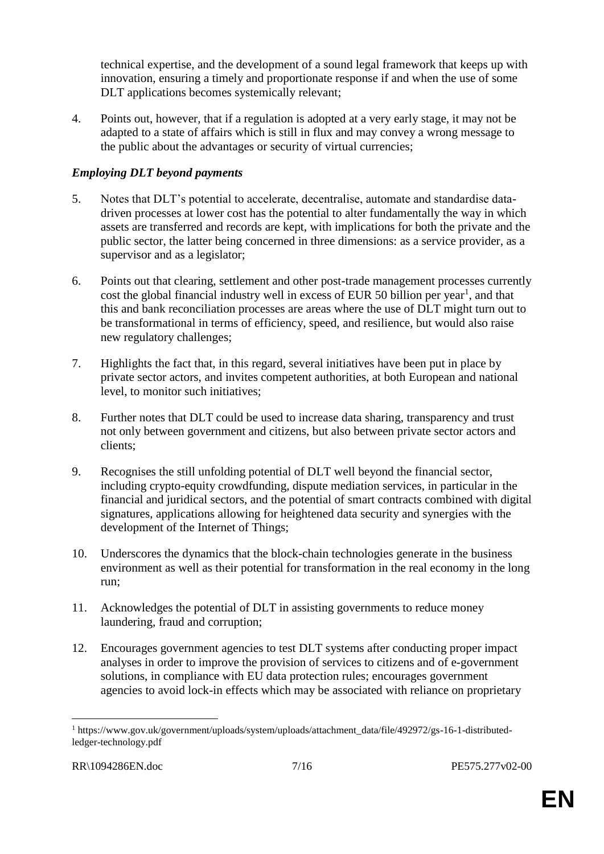technical expertise, and the development of a sound legal framework that keeps up with innovation, ensuring a timely and proportionate response if and when the use of some DLT applications becomes systemically relevant;

4. Points out, however, that if a regulation is adopted at a very early stage, it may not be adapted to a state of affairs which is still in flux and may convey a wrong message to the public about the advantages or security of virtual currencies;

#### *Employing DLT beyond payments*

- 5. Notes that DLT's potential to accelerate, decentralise, automate and standardise datadriven processes at lower cost has the potential to alter fundamentally the way in which assets are transferred and records are kept, with implications for both the private and the public sector, the latter being concerned in three dimensions: as a service provider, as a supervisor and as a legislator;
- 6. Points out that clearing, settlement and other post-trade management processes currently cost the global financial industry well in excess of EUR 50 billion per year<sup>1</sup>, and that this and bank reconciliation processes are areas where the use of DLT might turn out to be transformational in terms of efficiency, speed, and resilience, but would also raise new regulatory challenges;
- 7. Highlights the fact that, in this regard, several initiatives have been put in place by private sector actors, and invites competent authorities, at both European and national level, to monitor such initiatives;
- 8. Further notes that DLT could be used to increase data sharing, transparency and trust not only between government and citizens, but also between private sector actors and clients;
- 9. Recognises the still unfolding potential of DLT well beyond the financial sector, including crypto-equity crowdfunding, dispute mediation services, in particular in the financial and juridical sectors, and the potential of smart contracts combined with digital signatures, applications allowing for heightened data security and synergies with the development of the Internet of Things;
- 10. Underscores the dynamics that the block-chain technologies generate in the business environment as well as their potential for transformation in the real economy in the long run;
- 11. Acknowledges the potential of DLT in assisting governments to reduce money laundering, fraud and corruption;
- 12. Encourages government agencies to test DLT systems after conducting proper impact analyses in order to improve the provision of services to citizens and of e-government solutions, in compliance with EU data protection rules; encourages government agencies to avoid lock-in effects which may be associated with reliance on proprietary

<sup>1</sup> https://www.gov.uk/government/uploads/system/uploads/attachment\_data/file/492972/gs-16-1-distributedledger-technology.pdf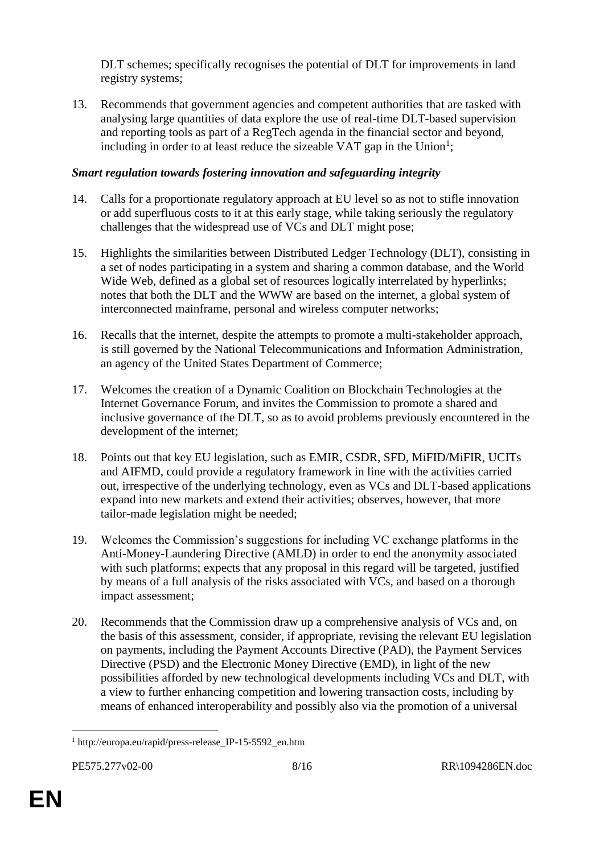DLT schemes; specifically recognises the potential of DLT for improvements in land registry systems;

13. Recommends that government agencies and competent authorities that are tasked with analysing large quantities of data explore the use of real-time DLT-based supervision and reporting tools as part of a RegTech agenda in the financial sector and beyond, including in order to at least reduce the sizeable VAT gap in the Union<sup>1</sup>;

#### *Smart regulation towards fostering innovation and safeguarding integrity*

- 14. Calls for a proportionate regulatory approach at EU level so as not to stifle innovation or add superfluous costs to it at this early stage, while taking seriously the regulatory challenges that the widespread use of VCs and DLT might pose;
- 15. Highlights the similarities between Distributed Ledger Technology (DLT), consisting in a set of nodes participating in a system and sharing a common database, and the World Wide Web, defined as a global set of resources logically interrelated by hyperlinks; notes that both the DLT and the WWW are based on the internet, a global system of interconnected mainframe, personal and wireless computer networks;
- 16. Recalls that the internet, despite the attempts to promote a multi-stakeholder approach, is still governed by the National Telecommunications and Information Administration, an agency of the United States Department of Commerce;
- 17. Welcomes the creation of a Dynamic Coalition on Blockchain Technologies at the Internet Governance Forum, and invites the Commission to promote a shared and inclusive governance of the DLT, so as to avoid problems previously encountered in the development of the internet;
- 18. Points out that key EU legislation, such as EMIR, CSDR, SFD, MiFID/MiFIR, UCITs and AIFMD, could provide a regulatory framework in line with the activities carried out, irrespective of the underlying technology, even as VCs and DLT-based applications expand into new markets and extend their activities; observes, however, that more tailor-made legislation might be needed;
- 19. Welcomes the Commission's suggestions for including VC exchange platforms in the Anti-Money-Laundering Directive (AMLD) in order to end the anonymity associated with such platforms; expects that any proposal in this regard will be targeted, justified by means of a full analysis of the risks associated with VCs, and based on a thorough impact assessment;
- 20. Recommends that the Commission draw up a comprehensive analysis of VCs and, on the basis of this assessment, consider, if appropriate, revising the relevant EU legislation on payments, including the Payment Accounts Directive (PAD), the Payment Services Directive (PSD) and the Electronic Money Directive (EMD), in light of the new possibilities afforded by new technological developments including VCs and DLT, with a view to further enhancing competition and lowering transaction costs, including by means of enhanced interoperability and possibly also via the promotion of a universal

 $\overline{a}$ <sup>1</sup> http://europa.eu/rapid/press-release\_IP-15-5592\_en.htm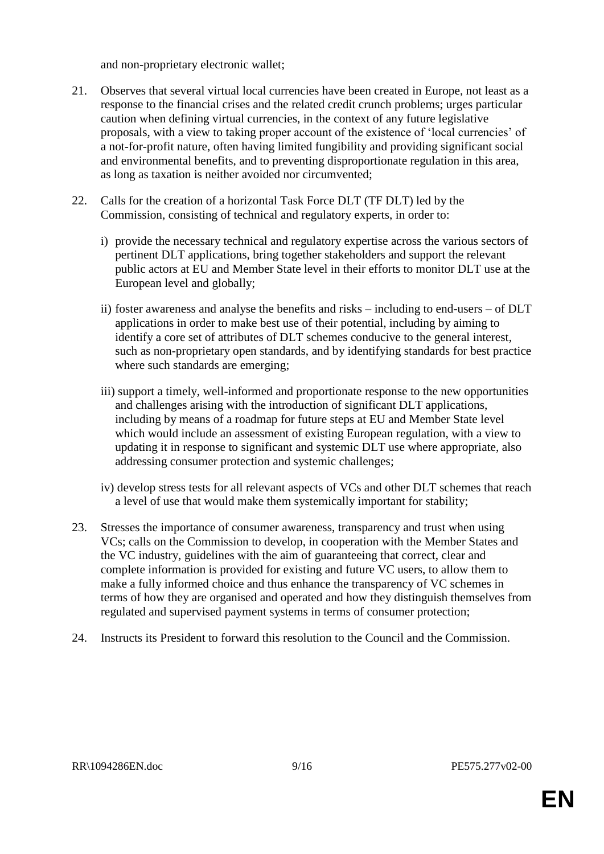and non-proprietary electronic wallet;

- 21. Observes that several virtual local currencies have been created in Europe, not least as a response to the financial crises and the related credit crunch problems; urges particular caution when defining virtual currencies, in the context of any future legislative proposals, with a view to taking proper account of the existence of 'local currencies' of a not-for-profit nature, often having limited fungibility and providing significant social and environmental benefits, and to preventing disproportionate regulation in this area, as long as taxation is neither avoided nor circumvented;
- 22. Calls for the creation of a horizontal Task Force DLT (TF DLT) led by the Commission, consisting of technical and regulatory experts, in order to:
	- i) provide the necessary technical and regulatory expertise across the various sectors of pertinent DLT applications, bring together stakeholders and support the relevant public actors at EU and Member State level in their efforts to monitor DLT use at the European level and globally;
	- ii) foster awareness and analyse the benefits and risks including to end-users of DLT applications in order to make best use of their potential, including by aiming to identify a core set of attributes of DLT schemes conducive to the general interest, such as non-proprietary open standards, and by identifying standards for best practice where such standards are emerging;
	- iii) support a timely, well-informed and proportionate response to the new opportunities and challenges arising with the introduction of significant DLT applications, including by means of a roadmap for future steps at EU and Member State level which would include an assessment of existing European regulation, with a view to updating it in response to significant and systemic DLT use where appropriate, also addressing consumer protection and systemic challenges;
	- iv) develop stress tests for all relevant aspects of VCs and other DLT schemes that reach a level of use that would make them systemically important for stability;
- 23. Stresses the importance of consumer awareness, transparency and trust when using VCs; calls on the Commission to develop, in cooperation with the Member States and the VC industry, guidelines with the aim of guaranteeing that correct, clear and complete information is provided for existing and future VC users, to allow them to make a fully informed choice and thus enhance the transparency of VC schemes in terms of how they are organised and operated and how they distinguish themselves from regulated and supervised payment systems in terms of consumer protection;
- 24. Instructs its President to forward this resolution to the Council and the Commission.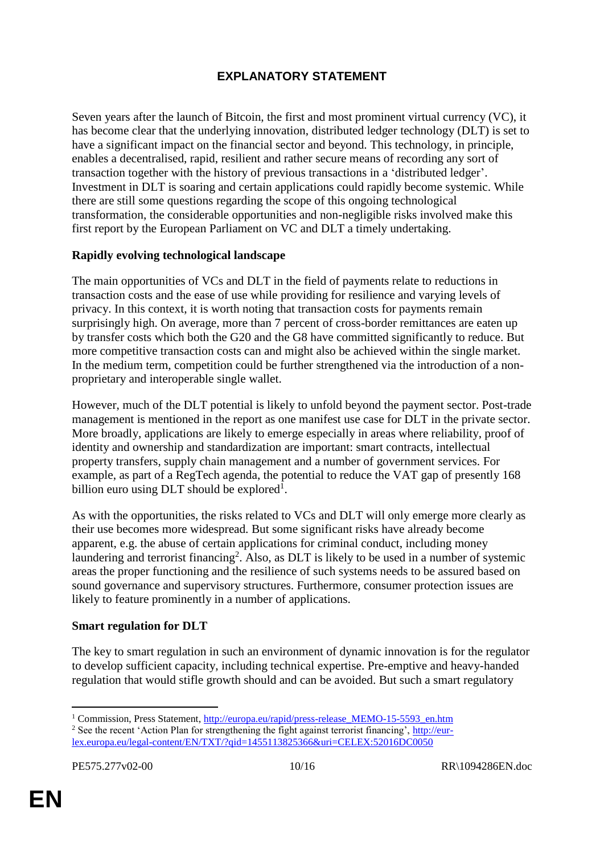### **EXPLANATORY STATEMENT**

Seven years after the launch of Bitcoin, the first and most prominent virtual currency (VC), it has become clear that the underlying innovation, distributed ledger technology (DLT) is set to have a significant impact on the financial sector and beyond. This technology, in principle, enables a decentralised, rapid, resilient and rather secure means of recording any sort of transaction together with the history of previous transactions in a 'distributed ledger'. Investment in DLT is soaring and certain applications could rapidly become systemic. While there are still some questions regarding the scope of this ongoing technological transformation, the considerable opportunities and non-negligible risks involved make this first report by the European Parliament on VC and DLT a timely undertaking.

#### **Rapidly evolving technological landscape**

The main opportunities of VCs and DLT in the field of payments relate to reductions in transaction costs and the ease of use while providing for resilience and varying levels of privacy. In this context, it is worth noting that transaction costs for payments remain surprisingly high. On average, more than 7 percent of cross-border remittances are eaten up by transfer costs which both the G20 and the G8 have committed significantly to reduce. But more competitive transaction costs can and might also be achieved within the single market. In the medium term, competition could be further strengthened via the introduction of a nonproprietary and interoperable single wallet.

However, much of the DLT potential is likely to unfold beyond the payment sector. Post-trade management is mentioned in the report as one manifest use case for DLT in the private sector. More broadly, applications are likely to emerge especially in areas where reliability, proof of identity and ownership and standardization are important: smart contracts, intellectual property transfers, supply chain management and a number of government services. For example, as part of a RegTech agenda, the potential to reduce the VAT gap of presently 168 billion euro using  $DLT$  should be explored<sup>1</sup>.

As with the opportunities, the risks related to VCs and DLT will only emerge more clearly as their use becomes more widespread. But some significant risks have already become apparent, e.g. the abuse of certain applications for criminal conduct, including money laundering and terrorist financing<sup>2</sup>. Also, as DLT is likely to be used in a number of systemic areas the proper functioning and the resilience of such systems needs to be assured based on sound governance and supervisory structures. Furthermore, consumer protection issues are likely to feature prominently in a number of applications.

#### **Smart regulation for DLT**

The key to smart regulation in such an environment of dynamic innovation is for the regulator to develop sufficient capacity, including technical expertise. Pre-emptive and heavy-handed regulation that would stifle growth should and can be avoided. But such a smart regulatory

<sup>&</sup>lt;sup>1</sup> Commission, Press Statement, [http://europa.eu/rapid/press-release\\_MEMO-15-5593\\_en.htm](http://europa.eu/rapid/press-release_MEMO-15-5593_en.htm)

<sup>&</sup>lt;sup>2</sup> See the recent 'Action Plan for strengthening the fight against terrorist financing', [http://eur](http://eur-lex.europa.eu/legal-content/EN/TXT/?qid=1455113825366&uri=CELEX:52016DC0050)[lex.europa.eu/legal-content/EN/TXT/?qid=1455113825366&uri=CELEX:52016DC0050](http://eur-lex.europa.eu/legal-content/EN/TXT/?qid=1455113825366&uri=CELEX:52016DC0050)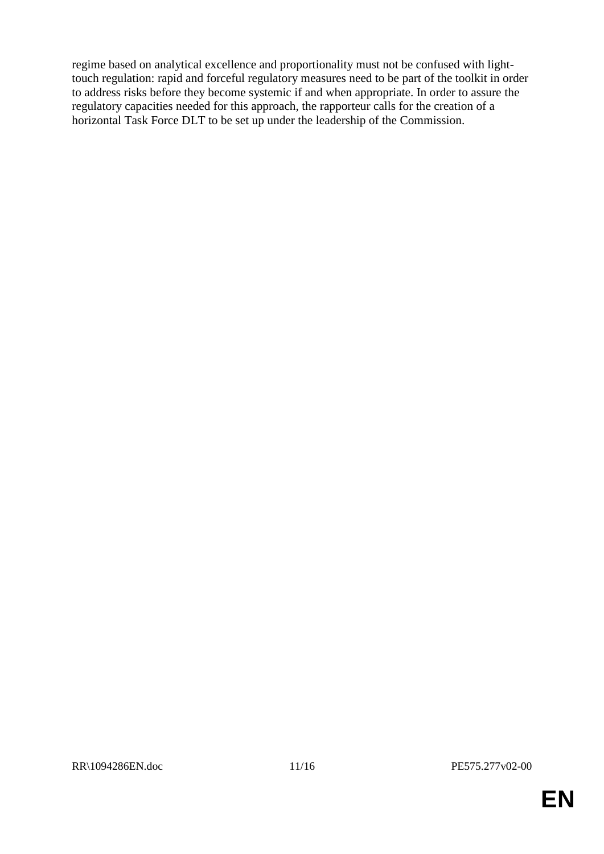regime based on analytical excellence and proportionality must not be confused with lighttouch regulation: rapid and forceful regulatory measures need to be part of the toolkit in order to address risks before they become systemic if and when appropriate. In order to assure the regulatory capacities needed for this approach, the rapporteur calls for the creation of a horizontal Task Force DLT to be set up under the leadership of the Commission.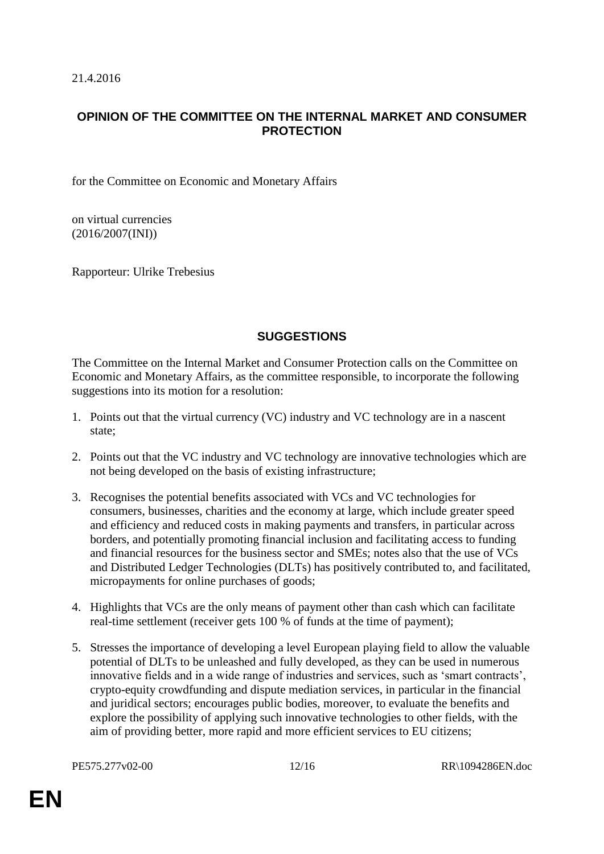#### **OPINION OF THE COMMITTEE ON THE INTERNAL MARKET AND CONSUMER PROTECTION**

for the Committee on Economic and Monetary Affairs

on virtual currencies (2016/2007(INI))

Rapporteur: Ulrike Trebesius

#### **SUGGESTIONS**

The Committee on the Internal Market and Consumer Protection calls on the Committee on Economic and Monetary Affairs, as the committee responsible, to incorporate the following suggestions into its motion for a resolution:

- 1. Points out that the virtual currency (VC) industry and VC technology are in a nascent state;
- 2. Points out that the VC industry and VC technology are innovative technologies which are not being developed on the basis of existing infrastructure;
- 3. Recognises the potential benefits associated with VCs and VC technologies for consumers, businesses, charities and the economy at large, which include greater speed and efficiency and reduced costs in making payments and transfers, in particular across borders, and potentially promoting financial inclusion and facilitating access to funding and financial resources for the business sector and SMEs; notes also that the use of VCs and Distributed Ledger Technologies (DLTs) has positively contributed to, and facilitated, micropayments for online purchases of goods;
- 4. Highlights that VCs are the only means of payment other than cash which can facilitate real-time settlement (receiver gets 100 % of funds at the time of payment);
- 5. Stresses the importance of developing a level European playing field to allow the valuable potential of DLTs to be unleashed and fully developed, as they can be used in numerous innovative fields and in a wide range of industries and services, such as 'smart contracts', crypto-equity crowdfunding and dispute mediation services, in particular in the financial and juridical sectors; encourages public bodies, moreover, to evaluate the benefits and explore the possibility of applying such innovative technologies to other fields, with the aim of providing better, more rapid and more efficient services to EU citizens;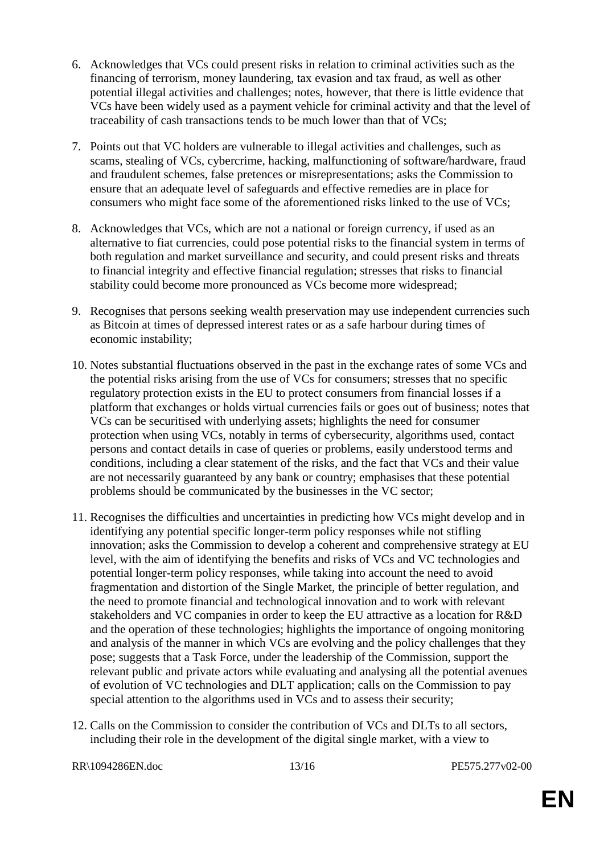- 6. Acknowledges that VCs could present risks in relation to criminal activities such as the financing of terrorism, money laundering, tax evasion and tax fraud, as well as other potential illegal activities and challenges; notes, however, that there is little evidence that VCs have been widely used as a payment vehicle for criminal activity and that the level of traceability of cash transactions tends to be much lower than that of VCs;
- 7. Points out that VC holders are vulnerable to illegal activities and challenges, such as scams, stealing of VCs, cybercrime, hacking, malfunctioning of software/hardware, fraud and fraudulent schemes, false pretences or misrepresentations; asks the Commission to ensure that an adequate level of safeguards and effective remedies are in place for consumers who might face some of the aforementioned risks linked to the use of VCs;
- 8. Acknowledges that VCs, which are not a national or foreign currency, if used as an alternative to fiat currencies, could pose potential risks to the financial system in terms of both regulation and market surveillance and security, and could present risks and threats to financial integrity and effective financial regulation; stresses that risks to financial stability could become more pronounced as VCs become more widespread;
- 9. Recognises that persons seeking wealth preservation may use independent currencies such as Bitcoin at times of depressed interest rates or as a safe harbour during times of economic instability;
- 10. Notes substantial fluctuations observed in the past in the exchange rates of some VCs and the potential risks arising from the use of VCs for consumers; stresses that no specific regulatory protection exists in the EU to protect consumers from financial losses if a platform that exchanges or holds virtual currencies fails or goes out of business; notes that VCs can be securitised with underlying assets; highlights the need for consumer protection when using VCs, notably in terms of cybersecurity, algorithms used, contact persons and contact details in case of queries or problems, easily understood terms and conditions, including a clear statement of the risks, and the fact that VCs and their value are not necessarily guaranteed by any bank or country; emphasises that these potential problems should be communicated by the businesses in the VC sector;
- 11. Recognises the difficulties and uncertainties in predicting how VCs might develop and in identifying any potential specific longer-term policy responses while not stifling innovation; asks the Commission to develop a coherent and comprehensive strategy at EU level, with the aim of identifying the benefits and risks of VCs and VC technologies and potential longer-term policy responses, while taking into account the need to avoid fragmentation and distortion of the Single Market, the principle of better regulation, and the need to promote financial and technological innovation and to work with relevant stakeholders and VC companies in order to keep the EU attractive as a location for R&D and the operation of these technologies; highlights the importance of ongoing monitoring and analysis of the manner in which VCs are evolving and the policy challenges that they pose; suggests that a Task Force, under the leadership of the Commission, support the relevant public and private actors while evaluating and analysing all the potential avenues of evolution of VC technologies and DLT application; calls on the Commission to pay special attention to the algorithms used in VCs and to assess their security;
- 12. Calls on the Commission to consider the contribution of VCs and DLTs to all sectors, including their role in the development of the digital single market, with a view to

RR\1094286EN.doc 13/16 PE575.277v02-00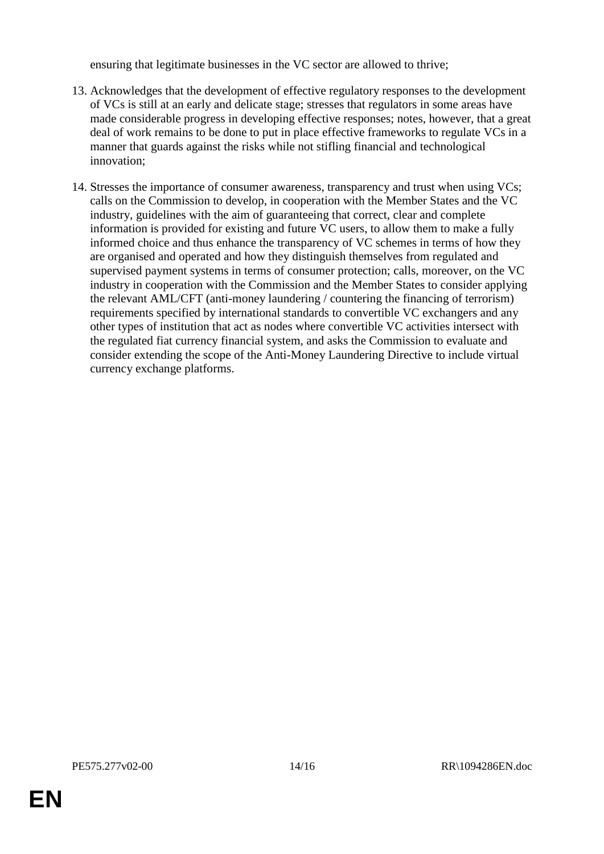ensuring that legitimate businesses in the VC sector are allowed to thrive;

- 13. Acknowledges that the development of effective regulatory responses to the development of VCs is still at an early and delicate stage; stresses that regulators in some areas have made considerable progress in developing effective responses; notes, however, that a great deal of work remains to be done to put in place effective frameworks to regulate VCs in a manner that guards against the risks while not stifling financial and technological innovation;
- 14. Stresses the importance of consumer awareness, transparency and trust when using VCs; calls on the Commission to develop, in cooperation with the Member States and the VC industry, guidelines with the aim of guaranteeing that correct, clear and complete information is provided for existing and future VC users, to allow them to make a fully informed choice and thus enhance the transparency of VC schemes in terms of how they are organised and operated and how they distinguish themselves from regulated and supervised payment systems in terms of consumer protection; calls, moreover, on the VC industry in cooperation with the Commission and the Member States to consider applying the relevant AML/CFT (anti-money laundering / countering the financing of terrorism) requirements specified by international standards to convertible VC exchangers and any other types of institution that act as nodes where convertible VC activities intersect with the regulated fiat currency financial system, and asks the Commission to evaluate and consider extending the scope of the Anti-Money Laundering Directive to include virtual currency exchange platforms.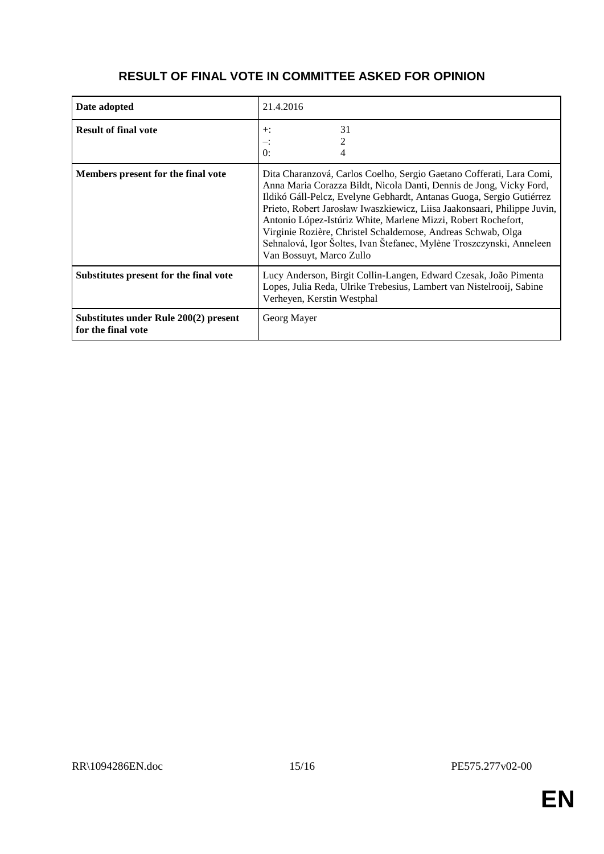| Date adopted                                                | 21.4.2016                                                                                                                                                                                                                                                                                                                                                                                                                                                                                                                            |
|-------------------------------------------------------------|--------------------------------------------------------------------------------------------------------------------------------------------------------------------------------------------------------------------------------------------------------------------------------------------------------------------------------------------------------------------------------------------------------------------------------------------------------------------------------------------------------------------------------------|
| <b>Result of final vote</b>                                 | 31<br>$+$ :<br>≕:<br>$\Omega$ :                                                                                                                                                                                                                                                                                                                                                                                                                                                                                                      |
| Members present for the final vote                          | Dita Charanzová, Carlos Coelho, Sergio Gaetano Cofferati, Lara Comi,<br>Anna Maria Corazza Bildt, Nicola Danti, Dennis de Jong, Vicky Ford,<br>Ildikó Gáll-Pelcz, Evelyne Gebhardt, Antanas Guoga, Sergio Gutiérrez<br>Prieto, Robert Jarosław Iwaszkiewicz, Liisa Jaakonsaari, Philippe Juvin,<br>Antonio López-Istúriz White, Marlene Mizzi, Robert Rochefort,<br>Virginie Rozière, Christel Schaldemose, Andreas Schwab, Olga<br>Sehnalová, Igor Šoltes, Ivan Štefanec, Mylène Troszczynski, Anneleen<br>Van Bossuyt, Marco Zullo |
| Substitutes present for the final vote                      | Lucy Anderson, Birgit Collin-Langen, Edward Czesak, João Pimenta<br>Lopes, Julia Reda, Ulrike Trebesius, Lambert van Nistelrooij, Sabine<br>Verheyen, Kerstin Westphal                                                                                                                                                                                                                                                                                                                                                               |
| Substitutes under Rule 200(2) present<br>for the final vote | Georg Mayer                                                                                                                                                                                                                                                                                                                                                                                                                                                                                                                          |

## **RESULT OF FINAL VOTE IN COMMITTEE ASKED FOR OPINION**